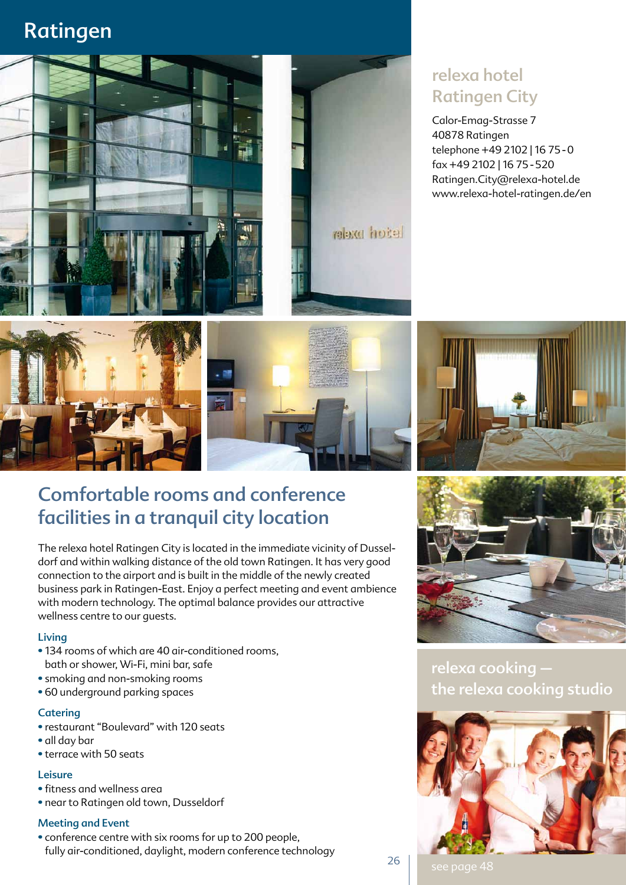# Ratingen



### relexa hotel Ratingen City

Calor-Emag-Strasse 7 40878 Ratingen telephone +49 2102 | 16 75 - 0 fax + 49 2102 | 16 75 - 520 Ratingen.City@relexa-hotel.de www.relexa-hotel-ratingen.de/en







### Comfortable rooms and conference facilities in a tranquil city location

The relexa hotel Ratingen City is located in the immediate vicinity of Dusseldorf and within walking distance of the old town Ratingen. It has very good connection to the airport and is built in the middle of the newly created business park in Ratingen-East. Enjoy a perfect meeting and event ambience with modern technology. The optimal balance provides our attractive wellness centre to our guests.

#### Living

- 134 rooms of which are 40 air-conditioned rooms, bath or shower, Wi-Fi, mini bar, safe
- smoking and non-smoking rooms
- 60 underground parking spaces

#### **Catering**

- restaurant "Boulevard" with 120 seats
- all day bar
- terrace with 50 seats

#### Leisure

- fitness and wellness area
- near to Ratingen old town, Dusseldorf

#### Meeting and Event

• conference centre with six rooms for up to 200 people, fully air-conditioned, daylight, modern conference technology



relexa cooking – the relexa cooking studio



26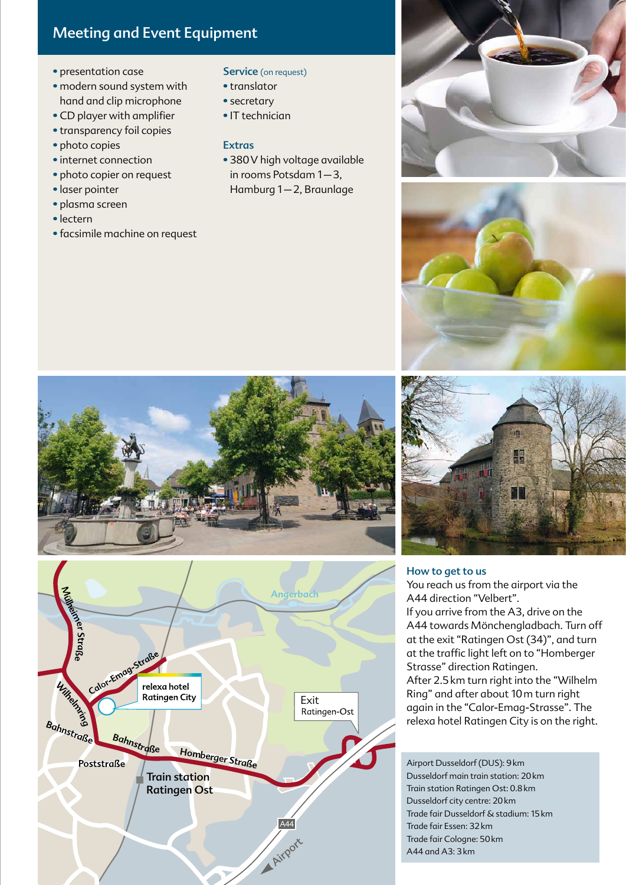### Meeting and Event Equipment

- presentation case
- modern sound system with hand and clip microphone
- CD player with amplifier
- transparency foil copies
- photo copies
- internet connection
- photo copier on request
- laser pointer
- plasma screen
- lectern
- facsimile machine on request

Service (on request)

- translator
- secretary
- IT technician

#### Extras

• 380V high voltage available in rooms Potsdam 1–3, Hamburg 1–2, Braunlage











#### How to get to us

You reach us from the airport via the A44 direction "Velbert". If you arrive from the A3, drive on the A44 towards Mönchengladbach. Turn off at the exit "Ratingen Ost (34)", and turn at the traffic light left on to "Homberger Strasse" direction Ratingen. After 2.5km turn right into the "Wilhelm Ring" and after about 10m turn right again in the "Calor-Emag-Strasse". The relexa hotel Ratingen City is on the right.

Airport Dusseldorf (DUS): 9km Dusseldorf main train station: 20km Train station Ratingen Ost: 0.8km Dusseldorf city centre: 20km Trade fair Dusseldorf & stadium: 15km Trade fair Essen: 32km Trade fair Cologne: 50km A44 and A3: 3km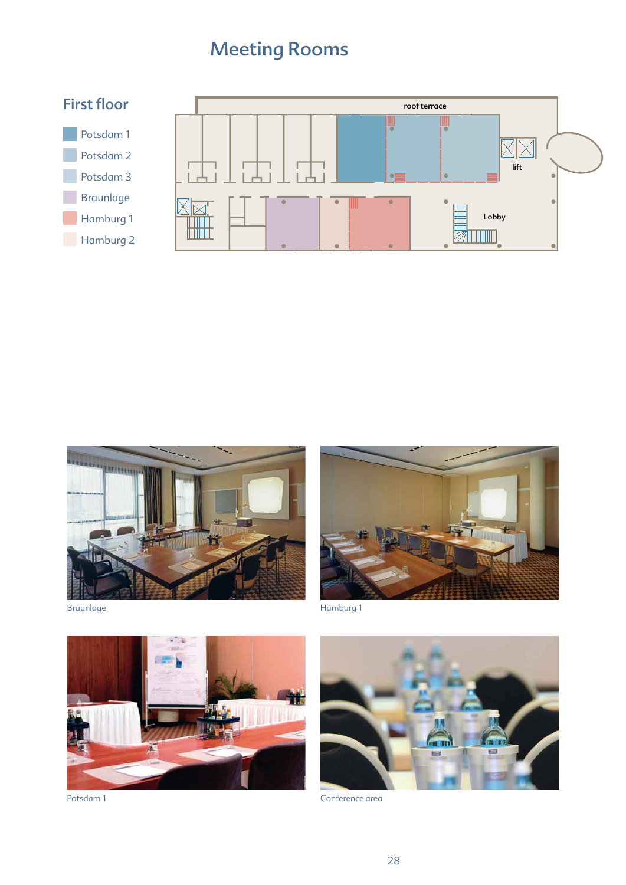## Meeting Rooms





Braunlage



Hamburg 1



Potsdam 1



Conference area